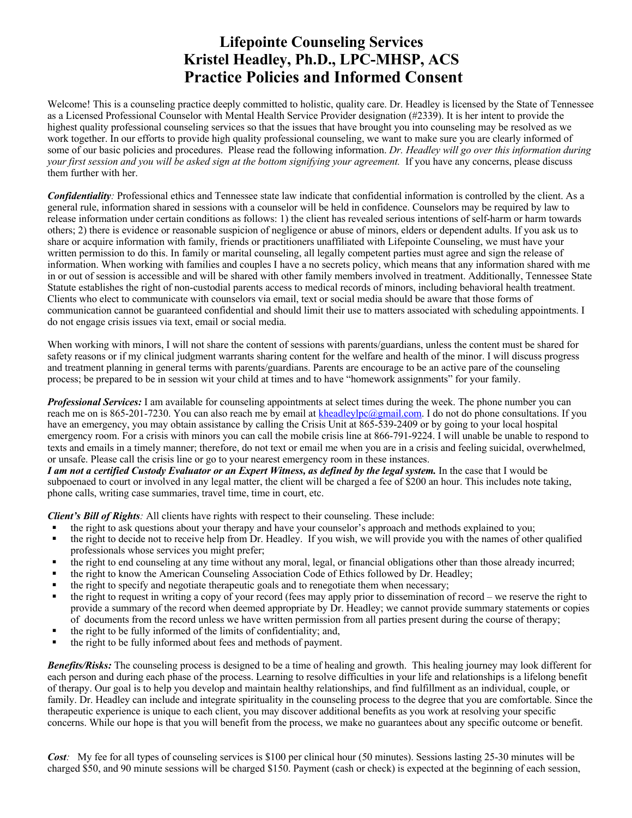## **Lifepointe Counseling Services Kristel Headley, Ph.D., LPC-MHSP, ACS Practice Policies and Informed Consent**

Welcome! This is a counseling practice deeply committed to holistic, quality care. Dr. Headley is licensed by the State of Tennessee as a Licensed Professional Counselor with Mental Health Service Provider designation (#2339). It is her intent to provide the highest quality professional counseling services so that the issues that have brought you into counseling may be resolved as we work together. In our efforts to provide high quality professional counseling, we want to make sure you are clearly informed of some of our basic policies and procedures. Please read the following information. *Dr. Headley will go over this information during your first session and you will be asked sign at the bottom signifying your agreement.* If you have any concerns, please discuss them further with her.

*Confidentiality:* Professional ethics and Tennessee state law indicate that confidential information is controlled by the client. As a general rule, information shared in sessions with a counselor will be held in confidence. Counselors may be required by law to release information under certain conditions as follows: 1) the client has revealed serious intentions of self-harm or harm towards others; 2) there is evidence or reasonable suspicion of negligence or abuse of minors, elders or dependent adults. If you ask us to share or acquire information with family, friends or practitioners unaffiliated with Lifepointe Counseling, we must have your written permission to do this. In family or marital counseling, all legally competent parties must agree and sign the release of information. When working with families and couples I have a no secrets policy, which means that any information shared with me in or out of session is accessible and will be shared with other family members involved in treatment. Additionally, Tennessee State Statute establishes the right of non-custodial parents access to medical records of minors, including behavioral health treatment. Clients who elect to communicate with counselors via email, text or social media should be aware that those forms of communication cannot be guaranteed confidential and should limit their use to matters associated with scheduling appointments. I do not engage crisis issues via text, email or social media.

When working with minors, I will not share the content of sessions with parents/guardians, unless the content must be shared for safety reasons or if my clinical judgment warrants sharing content for the welfare and health of the minor. I will discuss progress and treatment planning in general terms with parents/guardians. Parents are encourage to be an active pare of the counseling process; be prepared to be in session wit your child at times and to have "homework assignments" for your family.

*Professional Services:* I am available for counseling appointments at select times during the week. The phone number you can reach me on is 865-201-7230. You can also reach me by email at kheadleylpc@gmail.com. I do not do phone consultations. If you have an emergency, you may obtain assistance by calling the Crisis Unit at 865-539-2409 or by going to your local hospital emergency room. For a crisis with minors you can call the mobile crisis line at 866-791-9224. I will unable be unable to respond to texts and emails in a timely manner; therefore, do not text or email me when you are in a crisis and feeling suicidal, overwhelmed, or unsafe. Please call the crisis line or go to your nearest emergency room in these instances.

*I am not a certified Custody Evaluator or an Expert Witness, as defined by the legal system.* In the case that I would be subpoenaed to court or involved in any legal matter, the client will be charged a fee of \$200 an hour. This includes note taking, phone calls, writing case summaries, travel time, time in court, etc.

*Client's Bill of Rights:* All clients have rights with respect to their counseling. These include:

- the right to ask questions about your therapy and have your counselor's approach and methods explained to you;
- the right to decide not to receive help from Dr. Headley. If you wish, we will provide you with the names of other qualified professionals whose services you might prefer;
- the right to end counseling at any time without any moral, legal, or financial obligations other than those already incurred;
- the right to know the American Counseling Association Code of Ethics followed by Dr. Headley;
- the right to specify and negotiate therapeutic goals and to renegotiate them when necessary;
- § the right to request in writing a copy of your record (fees may apply prior to dissemination of record we reserve the right to provide a summary of the record when deemed appropriate by Dr. Headley; we cannot provide summary statements or copies of documents from the record unless we have written permission from all parties present during the course of therapy;
- the right to be fully informed of the limits of confidentiality; and,
- the right to be fully informed about fees and methods of payment.

*Benefits/Risks:* The counseling process is designed to be a time of healing and growth. This healing journey may look different for each person and during each phase of the process. Learning to resolve difficulties in your life and relationships is a lifelong benefit of therapy. Our goal is to help you develop and maintain healthy relationships, and find fulfillment as an individual, couple, or family. Dr. Headley can include and integrate spirituality in the counseling process to the degree that you are comfortable. Since the therapeutic experience is unique to each client, you may discover additional benefits as you work at resolving your specific concerns. While our hope is that you will benefit from the process, we make no guarantees about any specific outcome or benefit.

*Cost*: My fee for all types of counseling services is \$100 per clinical hour (50 minutes). Sessions lasting 25-30 minutes will be charged \$50, and 90 minute sessions will be charged \$150. Payment (cash or check) is expected at the beginning of each session,